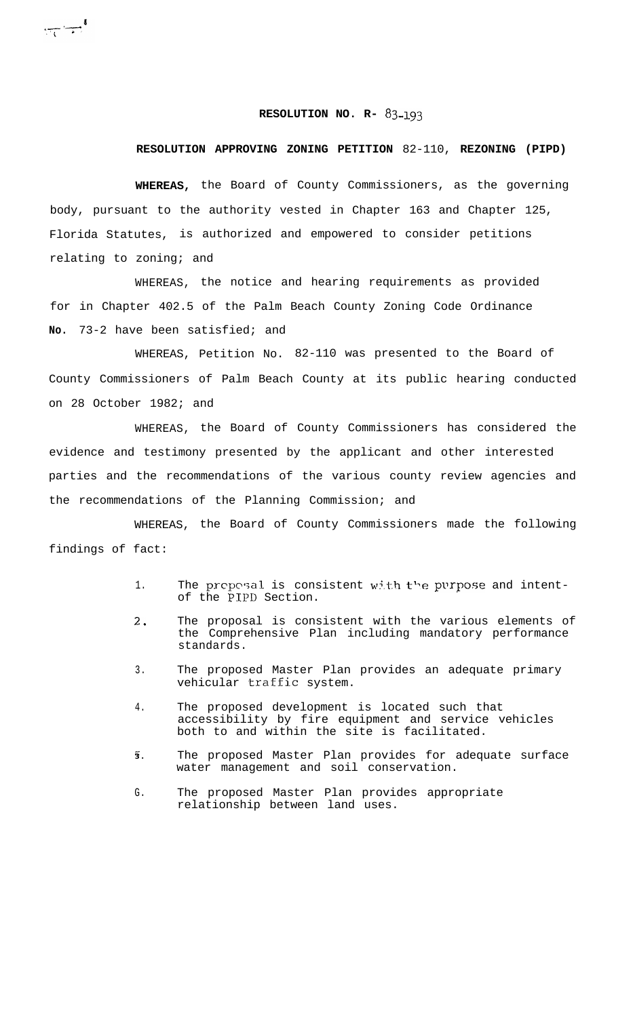## **RESOLUTION NO. R- 83-193**

## **RESOLUTION APPROVING ZONING PETITION** 82-110, **REZONING (PIPD)**

**WHEREAS,** the Board of County Commissioners, as the governing body, pursuant to the authority vested in Chapter 163 and Chapter 125, Florida Statutes, is authorized and empowered to consider petitions relating to zoning; and

 $\frac{1}{\sqrt{1-\frac{1}{2}}}$ 

WHEREAS, the notice and hearing requirements as provided for in Chapter 402.5 of the Palm Beach County Zoning Code Ordinance **No.** 73-2 have been satisfied; and

WHEREAS, Petition No. 82-110 was presented to the Board of County Commissioners of Palm Beach County at its public hearing conducted on 28 October 1982; and

WHEREAS, the Board of County Commissioners has considered the evidence and testimony presented by the applicant and other interested parties and the recommendations of the various county review agencies and the recommendations of the Planning Commission; and

WHEREAS, the Board of County Commissioners made the following findings of fact:

- 1. The proposal is consistent with the purpose and intentof the PIPD Section.
- 2, The proposal is consistent with the various elements of the Comprehensive Plan including mandatory performance standards.
- 3. The proposed Master Plan provides an adequate primary vehicular traffic system.
- 4. The proposed development is located such that accessibility by fire equipment and service vehicles both to and within the site is facilitated.
- **3**. The proposed Master Plan provides for adequate surface water management and soil conservation.
- G. The proposed Master Plan provides appropriate relationship between land uses.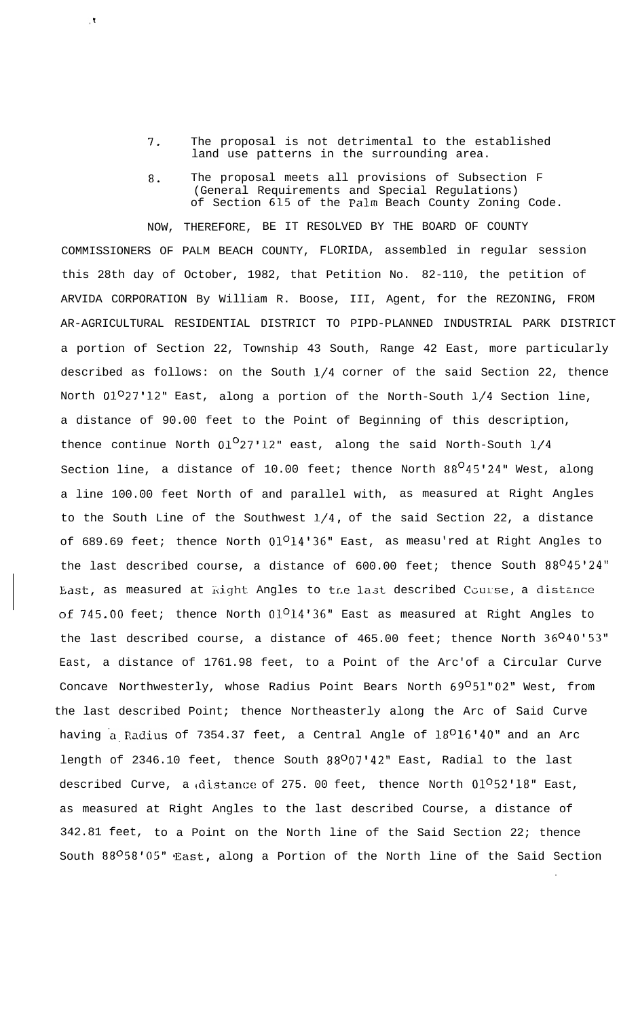**7.** The proposal is not detrimental to the established land use patterns in the surrounding area.

 $\bar{\mathbf{X}}$  .

**8.** The proposal meets all provisions of Subsection F (General Requirements and Special Regulations) of Section **615** of the **Palm** Beach County Zoning Code.

NOW, THEREFORE, BE IT RESOLVED BY THE BOARD OF COUNTY COMMISSIONERS OF PALM BEACH COUNTY, FLORIDA, assembled in regular session this 28th day of October, 1982, that Petition No. 82-110, the petition of ARVIDA CORPORATION By William R. Boose, III, Agent, for the REZONING, FROM AR-AGRICULTURAL RESIDENTIAL DISTRICT TO PIPD-PLANNED INDUSTRIAL PARK DISTRICT a portion of Section 22, Township 43 South, Range 42 East, more particularly described as follows: on the South l/4 corner of the said Section 22, thence North  $01^027'12''$  East, along a portion of the North-South  $1/4$  Section line, a distance of 90.00 feet to the Point of Beginning of this description, thence continue North  $0.027'12''$  east, along the said North-South  $1/4$ Section line, a distance of 10.00 feet; thence North  $88^O45'24''$  West, along a line 100.00 feet North of and parallel with, as measured at Right Angles to the South Line of the Southwest  $1/4$ , of the said Section 22, a distance of 689.69 feet; thence North 01<sup>0</sup>14'36" East, as measu'red at Right Angles to the last described course, a distance of 600.00 feet; thence South 88045'24" East, as measured at Right Angles to the last described Course, a distance of 745.00 feet; thence North 01<sup>0</sup>14'36" East as measured at Right Angles to the last described course, a distance of 465.00 feet; thence North 36040'53" East, a distance of 1761.98 feet, to a Point of the Arc'of a Circular Curve Concave Northwesterly, whose Radius Point Bears North 69051"02" West, from the last described Point; thence Northeasterly along the Arc of Said Curve having a Radius of 7354.37 feet, a Central Angle of 18<sup>0</sup>16'40" and an Arc length of 2346.10 feet, thence South 88007'42" East, Radial to the last described Curve, a distance of 275. 00 feet, thence North  $01^052'18''$  East, as measured at Right Angles to the last described Course, a distance of 342.81 feet, to a Point on the North line of the Said Section 22; thence South 88<sup>0</sup>58'05" East, along a Portion of the North line of the Said Section

.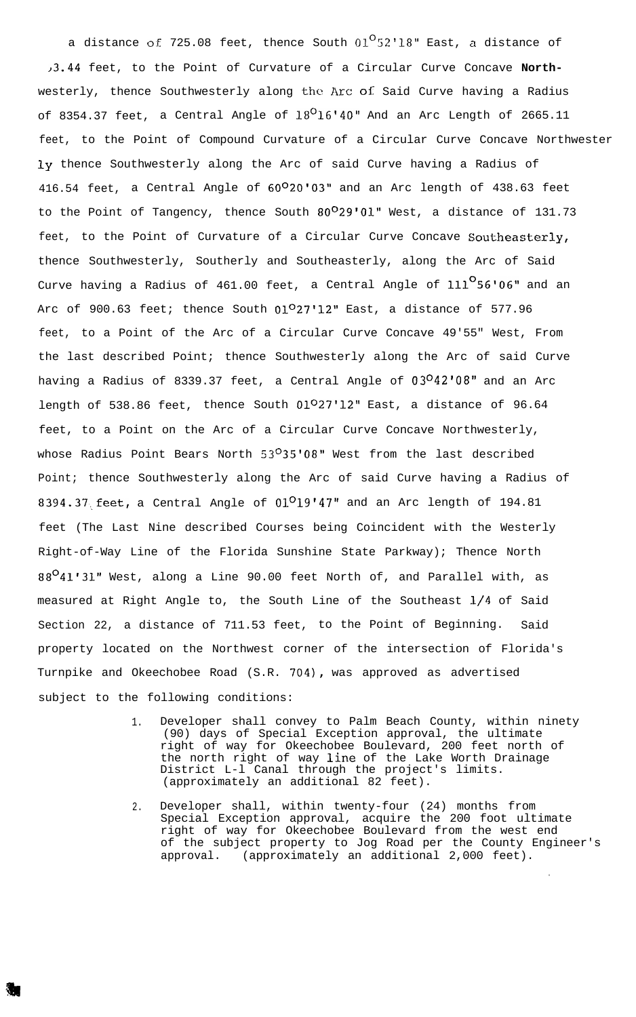a distance of 725.08 feet, thence South  $01^{\circ}52'18''$  East, a distance of j3.44 feet, to the Point of Curvature of a Circular Curve Concave **North**westerly, thence Southwesterly along the Arc of Said Curve having a Radius of 8354.37 feet, a Central Angle of  $18^O16'40''$  And an Arc Length of 2665.11 feet, to the Point of Compound Curvature of a Circular Curve Concave Northwester ly thence Southwesterly along the Arc of said Curve having a Radius of 416.54 feet, a Central Angle of  $60^{\circ}20$ '03" and an Arc length of 438.63 feet to the Point of Tangency, thence South 80<sup>0</sup>29'01" West, a distance of 131.73 feet, to the Point of Curvature of a Circular Curve Concave **Southeasterly,** thence Southwesterly, Southerly and Southeasterly, along the Arc of Said Curve having a Radius of  $461.00$  feet, a Central Angle of  $111^\mathbf{O}56^\mathbf{\cdot}06^\mathbf{\cdot\cdot}$  and an Arc of 900.63 feet; thence South  $01^027'12''$  East, a distance of 577.96 feet, to a Point of the Arc of a Circular Curve Concave 49'55" West, From the last described Point; thence Southwesterly along the Arc of said Curve having a Radius of 8339.37 feet, a Central Angle of 03042'08" and an Arc length of 538.86 feet, thence South 01027'12" East, a distance of 96.64 feet, to a Point on the Arc of a Circular Curve Concave Northwesterly, whose Radius Point Bears North  $53^{\circ}35'08''$  West from the last described Point; thence Southwesterly along the Arc of said Curve having a Radius of 8394.37 feet, a Central Angle of  $01^019'47''$  and an Arc length of 194.81 feet (The Last Nine described Courses being Coincident with the Westerly Right-of-Way Line of the Florida Sunshine State Parkway); Thence North 88<sup>0</sup>41'31" West, along a Line 90.00 feet North of, and Parallel with, as measured at Right Angle to, the South Line of the Southeast l/4 of Said Section 22, a distance of 711.53 feet, to the Point of Beginning. Said property located on the Northwest corner of the intersection of Florida's Turnpike and Okeechobee Road (S.R. 704), was approved as advertised subject to the following conditions:

- 1. Developer shall convey to Palm Beach County, within ninety (90) days of Special Exception approval, the ultimate right of way for Okeechobee Boulevard, 200 feet north of the north right of way **line** of the Lake Worth Drainage District L-l Canal through the project's limits. (approximately an additional 82 feet).
- 2. Developer shall, within twenty-four (24) months from Special Exception approval, acquire the 200 foot ultimate right of way for Okeechobee Boulevard from the west end of the subject property to Jog Road per the County Engineer's approval. (approximately an additional 2,000 feet).

.

all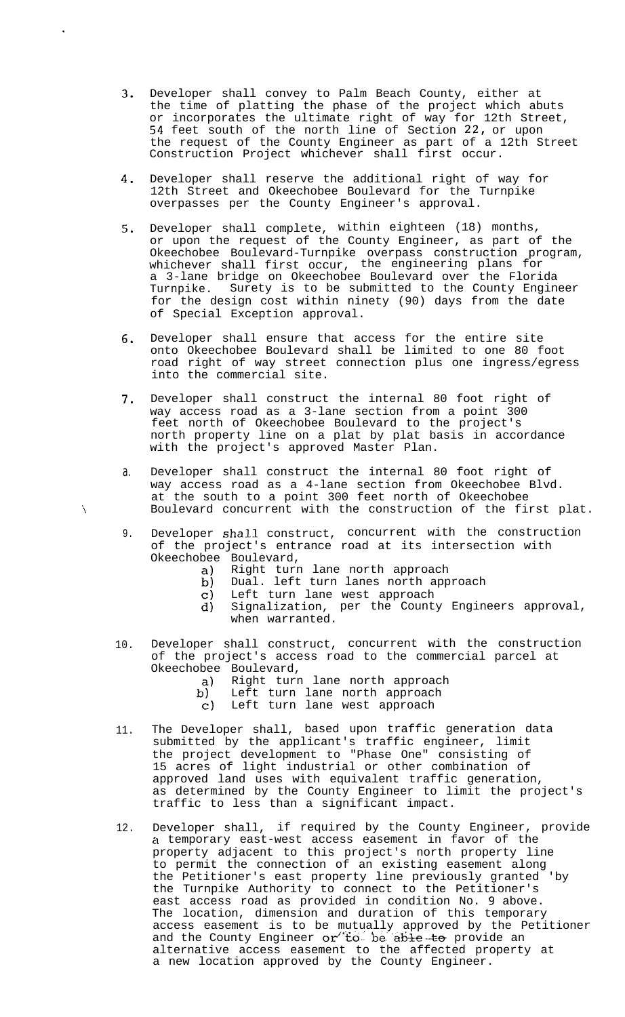- **3.** Developer shall convey to Palm Beach County, either at the time of platting the phase of the project which abuts or incorporates the ultimate right of way for 12th Street, **54** feet south of the north line of Section **22,** or upon the request of the County Engineer as part of a 12th Street Construction Project whichever shall first occur.
- **4.** Developer shall reserve the additional right of way for 12th Street and Okeechobee Boulevard for the Turnpike overpasses per the County Engineer's approval.

.

 $\lambda$ 

- **5.** Developer shall complete, within eighteen (18) months, or upon the request of the County Engineer, as part of the Okeechobee Boulevard-Turnpike overpass construction program, whichever shall first occur, the engineering plans for a 3-lane bridge on Okeechobee Boulevard over the Florida Turnpike. Surety is to be submitted to the County Engineer for the design cost within ninety (90) days from the date of Special Exception approval.
- **6.** Developer shall ensure that access for the entire site onto Okeechobee Boulevard shall be limited to one 80 foot road right of way street connection plus one ingress/egress into the commercial site.
- **7.** Developer shall construct the internal 80 foot right of way access road as a 3-lane section from a point 300 feet north of Okeechobee Boulevard to the project's north property line on a plat by plat basis in accordance with the project's approved Master Plan.
- a. Developer shall construct the internal 80 foot right of way access road as a 4-lane section from Okeechobee Blvd. at the south to a point 300 feet north of Okeechobee Boulevard concurrent with the construction of the first plat.
- 9. Developer shall construct, concurrent with the construction of the project's entrance road at its intersection with Okeechobee Boulevard,<br>a) Right turn
	- a) Right turn lane north approach
	- b) Dual. left turn lanes north approach
	- c) Left turn lane west approach
	- d) Signalization, per the County Engineers approval, when warranted.
- 10. Developer shall construct, concurrent with the construction of the project's access road to the commercial parcel at Okeechobee Boulevard,
	- a) Right turn lane north approach<br>b) Left turn lane north approach
	- b) Left turn lane north approach
		- c) Left turn lane west approach
- 11. The Developer shall, based upon traffic generation data submitted by the applicant's traffic engineer, limit the project development to "Phase One" consisting of 15 acres of light industrial or other combination of approved land uses with equivalent traffic generation, as determined by the County Engineer to limit the project's traffic to less than a significant impact.
- 12. Developer shall, if required by the County Engineer, provide a temporary east-west access easement in favor of the property adjacent to this project's north property line to permit the connection of an existing easement along the Petitioner's east property line previously granted 'by the Turnpike Authority to connect to the Petitioner's east access road as provided in condition No. **9** above. The location, dimension and duration of this temporary access easement is to be mutually approved by the Petitioner and the County Engineer or to be able to provide an alternative access easement to the affected property at a new location approved by the County Engineer.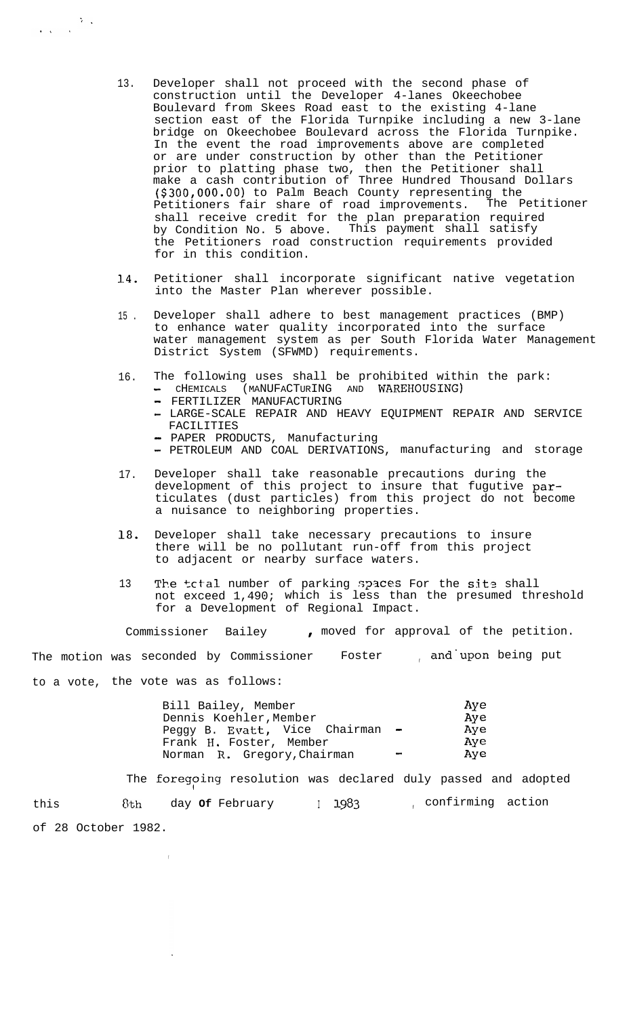- 13. Developer shall not proceed with the second phase of construction until the Developer 4-lanes Okeechobee Boulevard from Skees Road east to the existing 4-lane section east of the Florida Turnpike including a new 3-lane bridge on Okeechobee Boulevard across the Florida Turnpike. In the event the road improvements above are completed or are under construction by other than the Petitioner prior to platting phase two, then the Petitioner shall make a cash contribution of Three Hundred Thousand Dollars (\$300,000.00) to Palm Beach County representing the Petitioners fair share of road improvements. The Petitioner shall receive credit for the plan preparation required by Condition No. 5 above. This payment shall satisfy the Petitioners road construction requirements provided for in this condition.
- l4. Petitioner shall incorporate significant native vegetation into the Master Plan wherever possible.
- 15 . Developer shall adhere to best management practices (BMP) to enhance water quality incorporated into the surface water management system as per South Florida Water Management District System (SFWMD) requirements.
- 16. The following uses shall be prohibited within the park: - CHEMICALS (MANUFACTURING AND WAREHOUSING)
	- FERTILIZER MANUFACTURING

 $\frac{1}{\sqrt{2\pi}}\sum_{i=1}^{\infty}\frac{1}{2\pi}\sum_{i=1}^{\infty}\frac{1}{2\pi i}\left(\frac{1}{2\pi}\sum_{i=1}^{\infty}\frac{1}{2\pi i}\right).$ 

- LARGE-SCALE REPAIR AND HEAVY EQUIPMENT REPAIR AND SERVICE FACILITIES
- PAPER PRODUCTS, Manufacturing
- PETROLEUM AND COAL DERIVATIONS, manufacturing and storage
- 17. Developer shall take reasonable precautions during the development of this project to insure that fugutive particulates (dust particles) from this project do not become a nuisance to neighboring properties.
- ia. Developer shall take necessary precautions to insure there will be no pollutant run-off from this project to adjacent or nearby surface waters.
- 13 The total number of parking spaces For the site shall not exceed 1,490; which is less than the presumed threshold for a Development of Regional Impact.

Commissioner Bailey , moved for approval of the petition.

The motion was seconded by Commissioner Foster , and upon being put to a vote, the vote was as follows:

|                          | Ave    |
|--------------------------|--------|
|                          | Ave    |
|                          | Ave    |
|                          | Ave    |
| $\overline{\phantom{a}}$ | Ave    |
|                          | $\sim$ |

The foregoing resolution was declared duly passed and adopted this 6th day of February 1983 , confirming action of 28 October 1982.